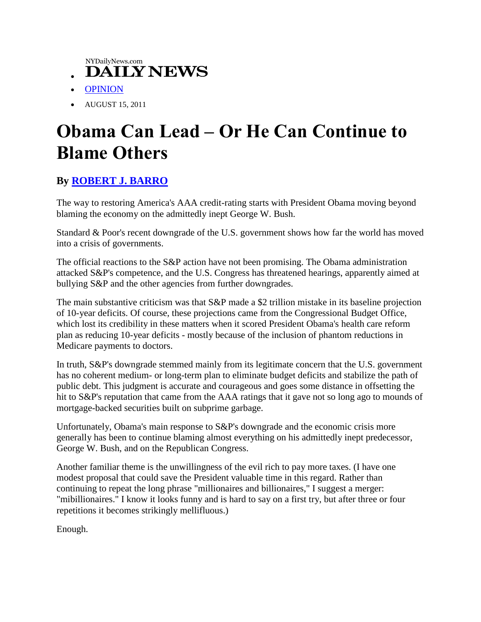NYDailyNews.com

- **DAILY NEWS**  $\bullet$
- [OPINION](http://www.nydailynews.com/opinions/2011/08/15/2011-08-15_a_clear_path_to_fiscal_sanity.html)
- AUGUST 15, 2011

## **Obama Can Lead – Or He Can Continue to Blame Others**

## **By [ROBERT J. BARRO](http://online.wsj.com/search/search_center.html?KEYWORDS=ROBERT+J.+BARRO&ARTICLESEARCHQUERY_PARSER=bylineAND)**

The way to restoring America's AAA credit-rating starts with President Obama moving beyond blaming the economy on the admittedly inept George W. Bush.

Standard & Poor's recent downgrade of the U.S. government shows how far the world has moved into a crisis of governments.

The official reactions to the S&P action have not been promising. The Obama administration attacked S&P's competence, and the U.S. Congress has threatened hearings, apparently aimed at bullying S&P and the other agencies from further downgrades.

The main substantive criticism was that S&P made a \$2 trillion mistake in its baseline projection of 10-year deficits. Of course, these projections came from the Congressional Budget Office, which lost its credibility in these matters when it scored President Obama's health care reform plan as reducing 10-year deficits - mostly because of the inclusion of phantom reductions in Medicare payments to doctors.

In truth, S&P's downgrade stemmed mainly from its legitimate concern that the U.S. government has no coherent medium- or long-term plan to eliminate budget deficits and stabilize the path of public debt. This judgment is accurate and courageous and goes some distance in offsetting the hit to S&P's reputation that came from the AAA ratings that it gave not so long ago to mounds of mortgage-backed securities built on subprime garbage.

Unfortunately, Obama's main response to S&P's downgrade and the economic crisis more generally has been to continue blaming almost everything on his admittedly inept predecessor, George W. Bush, and on the Republican Congress.

Another familiar theme is the unwillingness of the evil rich to pay more taxes. (I have one modest proposal that could save the President valuable time in this regard. Rather than continuing to repeat the long phrase "millionaires and billionaires," I suggest a merger: "mibillionaires." I know it looks funny and is hard to say on a first try, but after three or four repetitions it becomes strikingly mellifluous.)

Enough.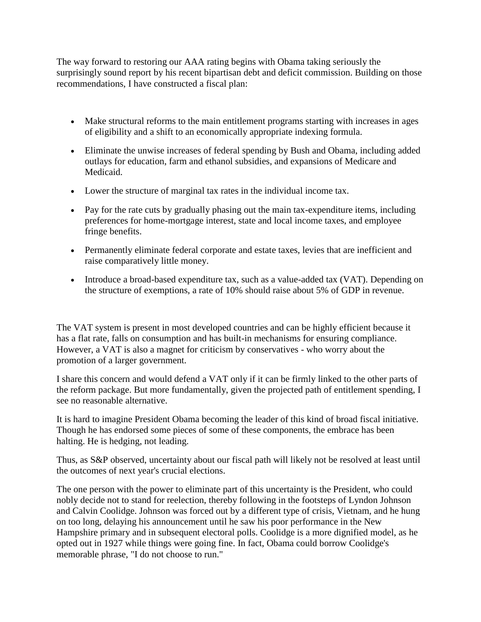The way forward to restoring our AAA rating begins with Obama taking seriously the surprisingly sound report by his recent bipartisan debt and deficit commission. Building on those recommendations, I have constructed a fiscal plan:

- Make structural reforms to the main entitlement programs starting with increases in ages of eligibility and a shift to an economically appropriate indexing formula.
- Eliminate the unwise increases of federal spending by Bush and Obama, including added outlays for education, farm and ethanol subsidies, and expansions of Medicare and Medicaid.
- Lower the structure of marginal tax rates in the individual income tax.
- Pay for the rate cuts by gradually phasing out the main tax-expenditure items, including preferences for home-mortgage interest, state and local income taxes, and employee fringe benefits.
- Permanently eliminate federal corporate and estate taxes, levies that are inefficient and raise comparatively little money.
- Introduce a broad-based expenditure tax, such as a value-added tax (VAT). Depending on the structure of exemptions, a rate of 10% should raise about 5% of GDP in revenue.

The VAT system is present in most developed countries and can be highly efficient because it has a flat rate, falls on consumption and has built-in mechanisms for ensuring compliance. However, a VAT is also a magnet for criticism by conservatives - who worry about the promotion of a larger government.

I share this concern and would defend a VAT only if it can be firmly linked to the other parts of the reform package. But more fundamentally, given the projected path of entitlement spending, I see no reasonable alternative.

It is hard to imagine President Obama becoming the leader of this kind of broad fiscal initiative. Though he has endorsed some pieces of some of these components, the embrace has been halting. He is hedging, not leading.

Thus, as S&P observed, uncertainty about our fiscal path will likely not be resolved at least until the outcomes of next year's crucial elections.

The one person with the power to eliminate part of this uncertainty is the President, who could nobly decide not to stand for reelection, thereby following in the footsteps of Lyndon Johnson and Calvin Coolidge. Johnson was forced out by a different type of crisis, Vietnam, and he hung on too long, delaying his announcement until he saw his poor performance in the New Hampshire primary and in subsequent electoral polls. Coolidge is a more dignified model, as he opted out in 1927 while things were going fine. In fact, Obama could borrow Coolidge's memorable phrase, "I do not choose to run."